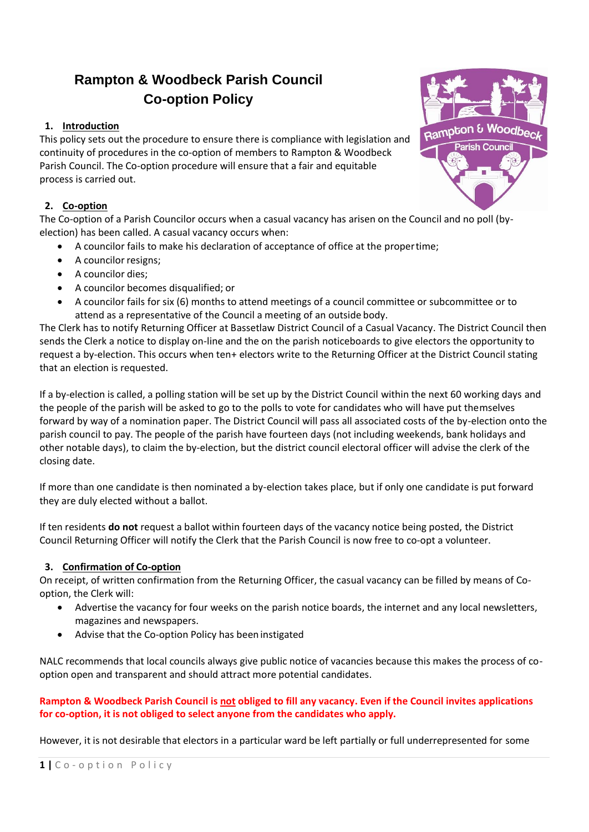# **Rampton & Woodbeck Parish Council Co-option Policy**

# **1. Introduction**

This policy sets out the procedure to ensure there is compliance with legislation and continuity of procedures in the co-option of members to Rampton & Woodbeck Parish Council. The Co-option procedure will ensure that a fair and equitable process is carried out.

## **2. Co-option**

The Co-option of a Parish Councilor occurs when a casual vacancy has arisen on the Council and no poll (byelection) has been called. A casual vacancy occurs when:

- A councilor fails to make his declaration of acceptance of office at the propertime;
- A councilor resigns;
- A councilor dies;
- A councilor becomes disqualified; or
- A councilor fails for six (6) months to attend meetings of a council committee or subcommittee or to attend as a representative of the Council a meeting of an outside body.

The Clerk has to notify Returning Officer at Bassetlaw District Council of a Casual Vacancy. The District Council then sends the Clerk a notice to display on-line and the on the parish noticeboards to give electors the opportunity to request a by-election. This occurs when ten+ electors write to the Returning Officer at the District Council stating that an election is requested.

If a by-election is called, a polling station will be set up by the District Council within the next 60 working days and the people of the parish will be asked to go to the polls to vote for candidates who will have put themselves forward by way of a nomination paper. The District Council will pass all associated costs of the by-election onto the parish council to pay. The people of the parish have fourteen days (not including weekends, bank holidays and other notable days), to claim the by-election, but the district council electoral officer will advise the clerk of the closing date.

If more than one candidate is then nominated a by-election takes place, but if only one candidate is put forward they are duly elected without a ballot.

If ten residents **do not** request a ballot within fourteen days of the vacancy notice being posted, the District Council Returning Officer will notify the Clerk that the Parish Council is now free to co-opt a volunteer.

### **3. Confirmation of Co-option**

On receipt, of written confirmation from the Returning Officer, the casual vacancy can be filled by means of Cooption, the Clerk will:

- Advertise the vacancy for four weeks on the parish notice boards, the internet and any local newsletters, magazines and newspapers.
- Advise that the Co-option Policy has been instigated

NALC recommends that local councils always give public notice of vacancies because this makes the process of cooption open and transparent and should attract more potential candidates.

## **Rampton & Woodbeck Parish Council is not obliged to fill any vacancy. Even if the Council invites applications for co-option, it is not obliged to select anyone from the candidates who apply.**

However, it is not desirable that electors in a particular ward be left partially or full underrepresented for some

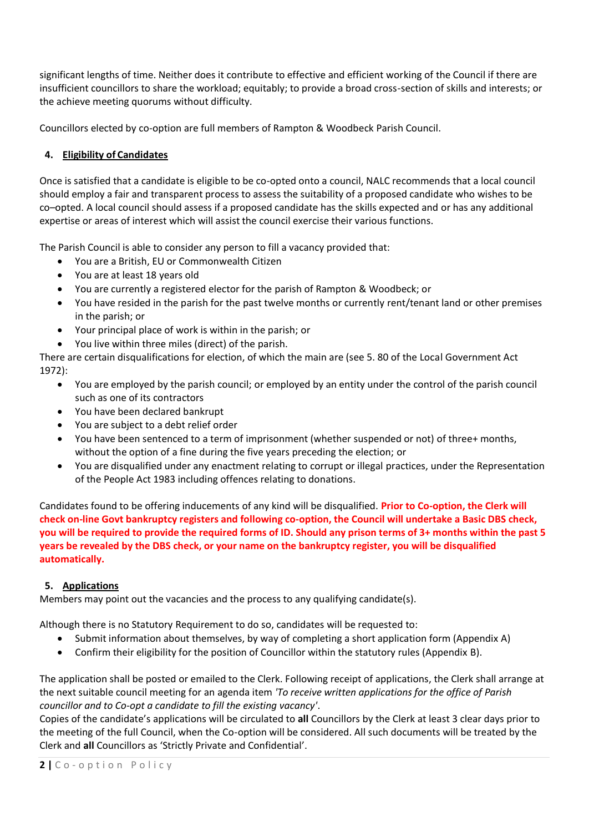significant lengths of time. Neither does it contribute to effective and efficient working of the Council if there are insufficient councillors to share the workload; equitably; to provide a broad cross-section of skills and interests; or the achieve meeting quorums without difficulty.

Councillors elected by co-option are full members of Rampton & Woodbeck Parish Council.

# **4. Eligibility of Candidates**

Once is satisfied that a candidate is eligible to be co-opted onto a council, NALC recommends that a local council should employ a fair and transparent process to assess the suitability of a proposed candidate who wishes to be co–opted. A local council should assess if a proposed candidate has the skills expected and or has any additional expertise or areas of interest which will assist the council exercise their various functions.

The Parish Council is able to consider any person to fill a vacancy provided that:

- You are a British, EU or Commonwealth Citizen
- You are at least 18 years old
- You are currently a registered elector for the parish of Rampton & Woodbeck; or
- You have resided in the parish for the past twelve months or currently rent/tenant land or other premises in the parish; or
- Your principal place of work is within in the parish; or
- You live within three miles (direct) of the parish.

There are certain disqualifications for election, of which the main are (see 5. 80 of the Local Government Act 1972):

- You are employed by the parish council; or employed by an entity under the control of the parish council such as one of its contractors
- You have been declared bankrupt
- You are subject to a debt relief order
- You have been sentenced to a term of imprisonment (whether suspended or not) of three+ months, without the option of a fine during the five years preceding the election; or
- You are disqualified under any enactment relating to corrupt or illegal practices, under the Representation of the People Act 1983 including offences relating to donations.

Candidates found to be offering inducements of any kind will be disqualified. **Prior to Co-option, the Clerk will check on-line Govt bankruptcy registers and following co-option, the Council will undertake a Basic DBS check, you will be required to provide the required forms of ID. Should any prison terms of 3+ months within the past 5 years be revealed by the DBS check, or your name on the bankruptcy register, you will be disqualified automatically.**

# **5. Applications**

Members may point out the vacancies and the process to any qualifying candidate(s).

Although there is no Statutory Requirement to do so, candidates will be requested to:

- Submit information about themselves, by way of completing a short application form (Appendix A)
- Confirm their eligibility for the position of Councillor within the statutory rules (Appendix B).

The application shall be posted or emailed to the Clerk. Following receipt of applications, the Clerk shall arrange at the next suitable council meeting for an agenda item *'To receive written applications for the office of Parish councillor and to Co-opt a candidate to fill the existing vacancy'*.

Copies of the candidate's applications will be circulated to **all** Councillors by the Clerk at least 3 clear days prior to the meeting of the full Council, when the Co-option will be considered. All such documents will be treated by the Clerk and **all** Councillors as 'Strictly Private and Confidential'.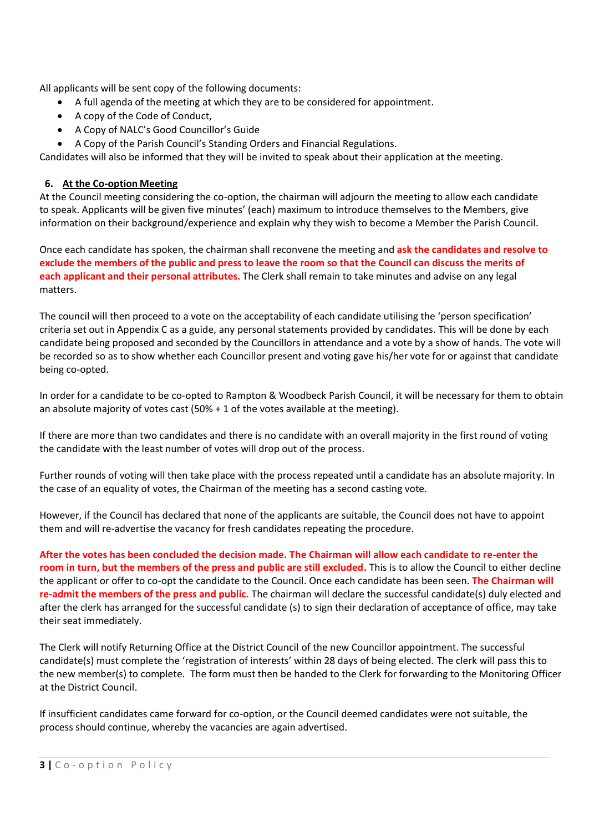All applicants will be sent copy of the following documents:

- A full agenda of the meeting at which they are to be considered for appointment.
- A copy of the Code of Conduct,
- A Copy of NALC's Good Councillor's Guide
- A Copy of the Parish Council's Standing Orders and Financial Regulations.

Candidates will also be informed that they will be invited to speak about their application at the meeting.

## **6. At the Co-option Meeting**

At the Council meeting considering the co-option, the chairman will adjourn the meeting to allow each candidate to speak. Applicants will be given five minutes' (each) maximum to introduce themselves to the Members, give information on their background/experience and explain why they wish to become a Member the Parish Council.

Once each candidate has spoken, the chairman shall reconvene the meeting and **ask the candidates and resolve to exclude the members of the public and press to leave the room so that the Council can discuss the merits of each applicant and their personal attributes.** The Clerk shall remain to take minutes and advise on any legal matters.

The council will then proceed to a vote on the acceptability of each candidate utilising the 'person specification' criteria set out in Appendix C as a guide, any personal statements provided by candidates. This will be done by each candidate being proposed and seconded by the Councillors in attendance and a vote by a show of hands. The vote will be recorded so as to show whether each Councillor present and voting gave his/her vote for or against that candidate being co-opted.

In order for a candidate to be co-opted to Rampton & Woodbeck Parish Council, it will be necessary for them to obtain an absolute majority of votes cast  $(50% + 1)$  of the votes available at the meeting).

If there are more than two candidates and there is no candidate with an overall majority in the first round of voting the candidate with the least number of votes will drop out of the process.

Further rounds of voting will then take place with the process repeated until a candidate has an absolute majority. In the case of an equality of votes, the Chairman of the meeting has a second casting vote.

However, if the Council has declared that none of the applicants are suitable, the Council does not have to appoint them and will re-advertise the vacancy for fresh candidates repeating the procedure.

**After the votes has been concluded the decision made. The Chairman will allow each candidate to re-enter the room in turn, but the members of the press and public are still excluded.** This is to allow the Council to either decline the applicant or offer to co-opt the candidate to the Council. Once each candidate has been seen. **The Chairman will re-admit the members of the press and public.** The chairman will declare the successful candidate(s) duly elected and after the clerk has arranged for the successful candidate (s) to sign their declaration of acceptance of office, may take their seat immediately.

The Clerk will notify Returning Office at the District Council of the new Councillor appointment. The successful candidate(s) must complete the 'registration of interests' within 28 days of being elected. The clerk will pass this to the new member(s) to complete. The form must then be handed to the Clerk for forwarding to the Monitoring Officer at the District Council.

If insufficient candidates came forward for co-option, or the Council deemed candidates were not suitable, the process should continue, whereby the vacancies are again advertised.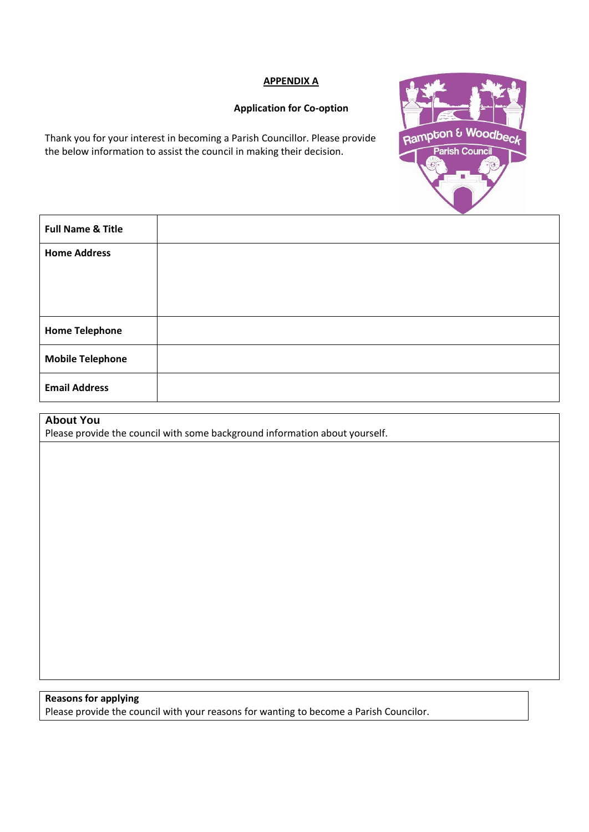#### **APPENDIX A**

#### **Application for Co-option**

Thank you for your interest in becoming a Parish Councillor. Please provide the below information to assist the council in making their decision.



| <b>Full Name &amp; Title</b> |  |
|------------------------------|--|
| <b>Home Address</b>          |  |
|                              |  |
|                              |  |
| <b>Home Telephone</b>        |  |
| <b>Mobile Telephone</b>      |  |
| <b>Email Address</b>         |  |

# **About You**

Please provide the council with some background information about yourself.

# **Reasons for applying**

Please provide the council with your reasons for wanting to become a Parish Councilor.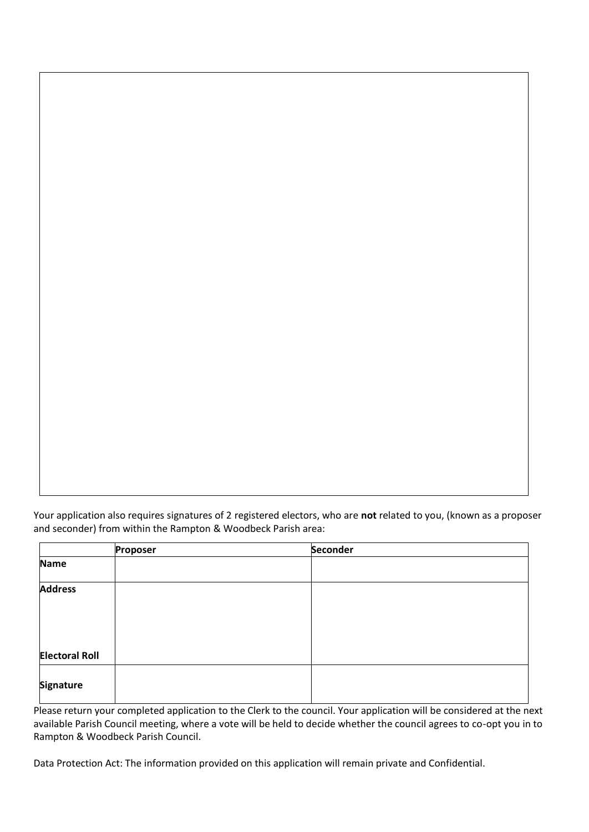Your application also requires signatures of 2 registered electors, who are **not** related to you, (known as a proposer and seconder) from within the Rampton & Woodbeck Parish area:

|                       | Proposer | Seconder |
|-----------------------|----------|----------|
| <b>Name</b>           |          |          |
| <b>Address</b>        |          |          |
| <b>Electoral Roll</b> |          |          |
| Signature             |          |          |

Please return your completed application to the Clerk to the council. Your application will be considered at the next available Parish Council meeting, where a vote will be held to decide whether the council agrees to co-opt you in to Rampton & Woodbeck Parish Council.

Data Protection Act: The information provided on this application will remain private and Confidential.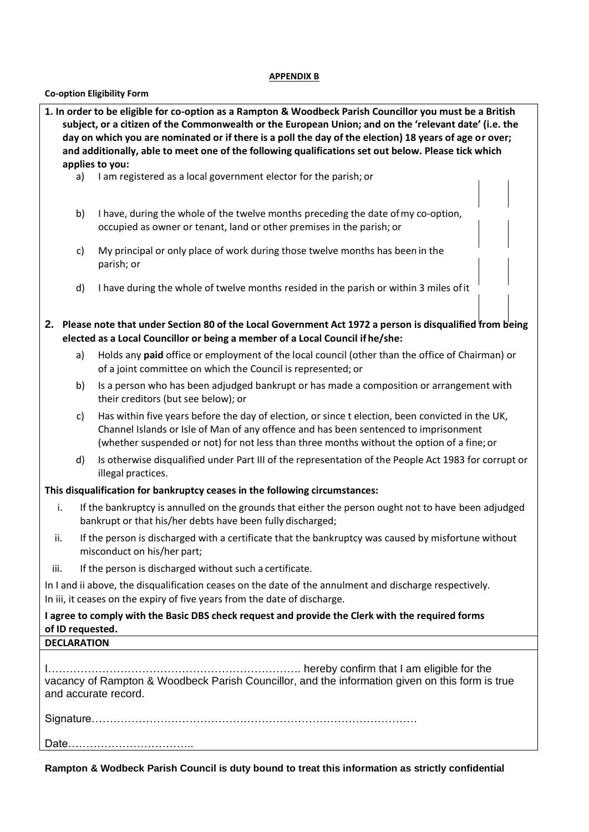#### **APPENDIX B**

## **Co-option Eligibility Form**

| 1. In order to be eligible for co-option as a Rampton & Woodbeck Parish Councillor you must be a British<br>subject, or a citizen of the Commonwealth or the European Union; and on the 'relevant date' (i.e. the |                                                                                                                                                                                                               |                                                                                                                                                                                                                                                                                        |  |  |  |
|-------------------------------------------------------------------------------------------------------------------------------------------------------------------------------------------------------------------|---------------------------------------------------------------------------------------------------------------------------------------------------------------------------------------------------------------|----------------------------------------------------------------------------------------------------------------------------------------------------------------------------------------------------------------------------------------------------------------------------------------|--|--|--|
|                                                                                                                                                                                                                   | day on which you are nominated or if there is a poll the day of the election) 18 years of age or over;<br>and additionally, able to meet one of the following qualifications set out below. Please tick which |                                                                                                                                                                                                                                                                                        |  |  |  |
|                                                                                                                                                                                                                   |                                                                                                                                                                                                               | applies to you:                                                                                                                                                                                                                                                                        |  |  |  |
|                                                                                                                                                                                                                   | a)                                                                                                                                                                                                            | I am registered as a local government elector for the parish; or                                                                                                                                                                                                                       |  |  |  |
|                                                                                                                                                                                                                   | b)                                                                                                                                                                                                            | I have, during the whole of the twelve months preceding the date of my co-option,<br>occupied as owner or tenant, land or other premises in the parish; or                                                                                                                             |  |  |  |
|                                                                                                                                                                                                                   | c)                                                                                                                                                                                                            | My principal or only place of work during those twelve months has been in the<br>parish; or                                                                                                                                                                                            |  |  |  |
|                                                                                                                                                                                                                   | d)                                                                                                                                                                                                            | I have during the whole of twelve months resided in the parish or within 3 miles of it                                                                                                                                                                                                 |  |  |  |
| 2. Please note that under Section 80 of the Local Government Act 1972 a person is disqualified from being<br>elected as a Local Councillor or being a member of a Local Council if he/she:                        |                                                                                                                                                                                                               |                                                                                                                                                                                                                                                                                        |  |  |  |
|                                                                                                                                                                                                                   | a)                                                                                                                                                                                                            | Holds any paid office or employment of the local council (other than the office of Chairman) or<br>of a joint committee on which the Council is represented; or                                                                                                                        |  |  |  |
|                                                                                                                                                                                                                   | b)                                                                                                                                                                                                            | Is a person who has been adjudged bankrupt or has made a composition or arrangement with<br>their creditors (but see below); or                                                                                                                                                        |  |  |  |
|                                                                                                                                                                                                                   | $\mathsf{c}$                                                                                                                                                                                                  | Has within five years before the day of election, or since t election, been convicted in the UK,<br>Channel Islands or Isle of Man of any offence and has been sentenced to imprisonment<br>(whether suspended or not) for not less than three months without the option of a fine; or |  |  |  |
|                                                                                                                                                                                                                   | d)                                                                                                                                                                                                            | Is otherwise disqualified under Part III of the representation of the People Act 1983 for corrupt or<br>illegal practices.                                                                                                                                                             |  |  |  |
|                                                                                                                                                                                                                   |                                                                                                                                                                                                               | This disqualification for bankruptcy ceases in the following circumstances:                                                                                                                                                                                                            |  |  |  |
| i.                                                                                                                                                                                                                | If the bankruptcy is annulled on the grounds that either the person ought not to have been adjudged<br>bankrupt or that his/her debts have been fully discharged;                                             |                                                                                                                                                                                                                                                                                        |  |  |  |
| ii.                                                                                                                                                                                                               | If the person is discharged with a certificate that the bankruptcy was caused by misfortune without<br>misconduct on his/her part;                                                                            |                                                                                                                                                                                                                                                                                        |  |  |  |
| iii.                                                                                                                                                                                                              |                                                                                                                                                                                                               | If the person is discharged without such a certificate.                                                                                                                                                                                                                                |  |  |  |
| In I and ii above, the disqualification ceases on the date of the annulment and discharge respectively.<br>In iii, it ceases on the expiry of five years from the date of discharge.                              |                                                                                                                                                                                                               |                                                                                                                                                                                                                                                                                        |  |  |  |
| I agree to comply with the Basic DBS check request and provide the Clerk with the required forms<br>of ID requested.                                                                                              |                                                                                                                                                                                                               |                                                                                                                                                                                                                                                                                        |  |  |  |
| <b>DECLARATION</b>                                                                                                                                                                                                |                                                                                                                                                                                                               |                                                                                                                                                                                                                                                                                        |  |  |  |
| vacancy of Rampton & Woodbeck Parish Councillor, and the information given on this form is true<br>and accurate record.                                                                                           |                                                                                                                                                                                                               |                                                                                                                                                                                                                                                                                        |  |  |  |
|                                                                                                                                                                                                                   |                                                                                                                                                                                                               |                                                                                                                                                                                                                                                                                        |  |  |  |
|                                                                                                                                                                                                                   |                                                                                                                                                                                                               |                                                                                                                                                                                                                                                                                        |  |  |  |

**Rampton & Wodbeck Parish Council is duty bound to treat this information as strictly confidential**